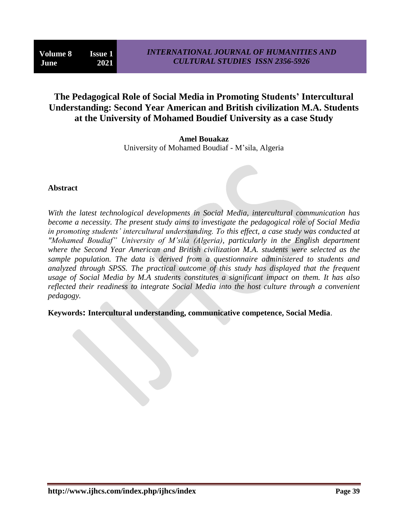# **The Pedagogical Role of Social Media in Promoting Students' Intercultural Understanding: Second Year American and British civilization M.A. Students at the University of Mohamed Boudief University as a case Study**

**Amel Bouakaz** University of Mohamed Boudiaf - M"sila, Algeria

### **Abstract**

*With the latest technological developments in Social Media, intercultural communication has become a necessity. The present study aims to investigate the pedagogical role of Social Media in promoting students' intercultural understanding. To this effect, a case study was conducted at "Mohamed Boudiaf" University of M'sila (Algeria), particularly in the English department where the Second Year American and British civilization M.A. students were selected as the sample population. The data is derived from a questionnaire administered to students and analyzed through SPSS. The practical outcome of this study has displayed that the frequent usage of Social Media by M.A students constitutes a significant impact on them. It has also reflected their readiness to integrate Social Media into the host culture through a convenient pedagogy.*

**Keywords: Intercultural understanding, communicative competence, Social Media**.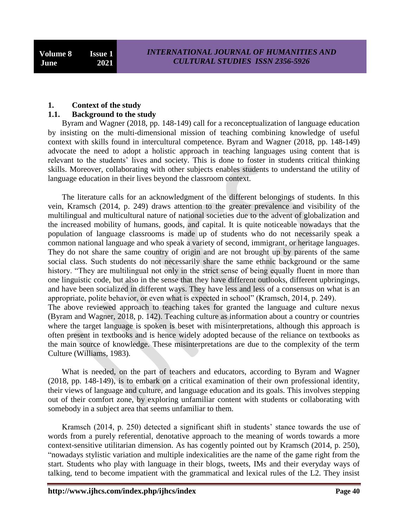#### **1. Context of the study**

#### **1.1. Background to the study**

 Byram and Wagner (2018, pp. 148-149) call for a reconceptualization of language education by insisting on the multi-dimensional mission of teaching combining knowledge of useful context with skills found in intercultural competence. Byram and Wagner (2018, pp. 148-149) advocate the need to adopt a holistic approach in teaching languages using content that is relevant to the students' lives and society. This is done to foster in students critical thinking skills. Moreover, collaborating with other subjects enables students to understand the utility of language education in their lives beyond the classroom context.

 The literature calls for an acknowledgment of the different belongings of students. In this vein, Kramsch (2014, p. 249) draws attention to the greater prevalence and visibility of the multilingual and multicultural nature of national societies due to the advent of globalization and the increased mobility of humans, goods, and capital. It is quite noticeable nowadays that the population of language classrooms is made up of students who do not necessarily speak a common national language and who speak a variety of second, immigrant, or heritage languages. They do not share the same country of origin and are not brought up by parents of the same social class. Such students do not necessarily share the same ethnic background or the same history. "They are multilingual not only in the strict sense of being equally fluent in more than one linguistic code, but also in the sense that they have different outlooks, different upbringings, and have been socialized in different ways. They have less and less of a consensus on what is an appropriate, polite behavior, or even what is expected in school" (Kramsch, 2014, p. 249). The above reviewed approach to teaching takes for granted the language and culture nexus (Byram and Wagner, 2018, p. 142). Teaching culture as information about a country or countries where the target language is spoken is beset with misinterpretations, although this approach is often present in textbooks and is hence widely adopted because of the reliance on textbooks as the main source of knowledge. These misinterpretations are due to the complexity of the term Culture (Williams, 1983).

 What is needed, on the part of teachers and educators, according to Byram and Wagner (2018, pp. 148-149), is to embark on a critical examination of their own professional identity, their views of language and culture, and language education and its goals. This involves stepping out of their comfort zone, by exploring unfamiliar content with students or collaborating with somebody in a subject area that seems unfamiliar to them.

 Kramsch (2014, p. 250) detected a significant shift in students" stance towards the use of words from a purely referential, denotative approach to the meaning of words towards a more context-sensitive utilitarian dimension. As has cogently pointed out by Kramsch (2014, p. 250), "nowadays stylistic variation and multiple indexicalities are the name of the game right from the start. Students who play with language in their blogs, tweets, IMs and their everyday ways of talking, tend to become impatient with the grammatical and lexical rules of the L2. They insist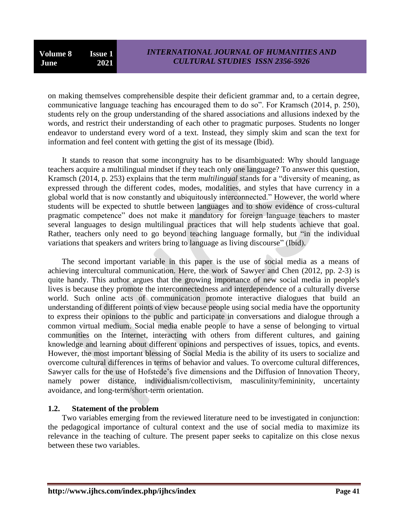on making themselves comprehensible despite their deficient grammar and, to a certain degree, communicative language teaching has encouraged them to do so". For Kramsch (2014, p. 250), students rely on the group understanding of the shared associations and allusions indexed by the words, and restrict their understanding of each other to pragmatic purposes. Students no longer endeavor to understand every word of a text. Instead, they simply skim and scan the text for information and feel content with getting the gist of its message (Ibid).

 It stands to reason that some incongruity has to be disambiguated: Why should language teachers acquire a multilingual mindset if they teach only one language? To answer this question, Kramsch (2014, p. 253) explains that the term *multilingual* stands for a "diversity of meaning, as expressed through the different codes, modes, modalities, and styles that have currency in a global world that is now constantly and ubiquitously interconnected." However, the world where students will be expected to shuttle between languages and to show evidence of cross-cultural pragmatic competence" does not make it mandatory for foreign language teachers to master several languages to design multilingual practices that will help students achieve that goal. Rather, teachers only need to go beyond teaching language formally, but "in the individual variations that speakers and writers bring to language as living discourse" (Ibid).

 The second important variable in this paper is the use of social media as a means of achieving intercultural communication. Here, the work of Sawyer and Chen (2012, pp. 2-3) is quite handy. This author argues that the growing importance of new social media in people's lives is because they promote the interconnectedness and interdependence of a culturally diverse world. Such online acts of communication promote interactive dialogues that build an understanding of different points of view because people using social media have the opportunity to express their opinions to the public and participate in conversations and dialogue through a common virtual medium. Social media enable people to have a sense of belonging to virtual communities on the Internet, interacting with others from different cultures, and gaining knowledge and learning about different opinions and perspectives of issues, topics, and events. However, the most important blessing of Social Media is the ability of its users to socialize and overcome cultural differences in terms of behavior and values. To overcome cultural differences, Sawyer calls for the use of Hofstede"s five dimensions and the Diffusion of Innovation Theory, namely power distance, individualism/collectivism, masculinity/femininity, uncertainty avoidance, and long-term/short-term orientation.

### **1.2. Statement of the problem**

 Two variables emerging from the reviewed literature need to be investigated in conjunction: the pedagogical importance of cultural context and the use of social media to maximize its relevance in the teaching of culture. The present paper seeks to capitalize on this close nexus between these two variables.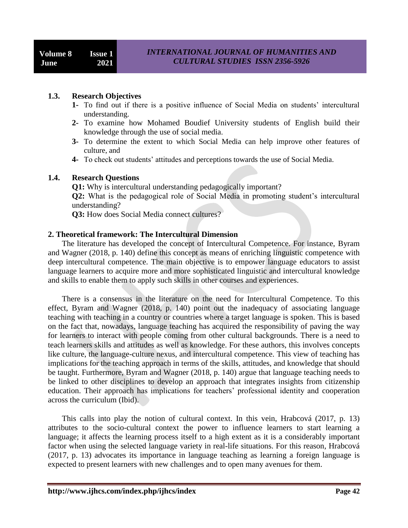#### **1.3. Research Objectives**

- **1-** To find out if there is a positive influence of Social Media on students" intercultural understanding.
- **2-** To examine how Mohamed Boudief University students of English build their knowledge through the use of social media.
- **3-** To determine the extent to which Social Media can help improve other features of culture, and
- **4-** To check out students" attitudes and perceptions towards the use of Social Media.

#### **1.4. Research Questions**

**Q1:** Why is intercultural understanding pedagogically important? **Q2:** What is the pedagogical role of Social Media in promoting student's intercultural understanding?

**Q3:** How does Social Media connect cultures?

### **2. Theoretical framework: The Intercultural Dimension**

 The literature has developed the concept of Intercultural Competence. For instance, Byram and Wagner (2018, p. 140) define this concept as means of enriching linguistic competence with deep intercultural competence. The main objective is to empower language educators to assist language learners to acquire more and more sophisticated linguistic and intercultural knowledge and skills to enable them to apply such skills in other courses and experiences.

 There is a consensus in the literature on the need for Intercultural Competence. To this effect, Byram and Wagner (2018, p. 140) point out the inadequacy of associating language teaching with teaching in a country or countries where a target language is spoken. This is based on the fact that, nowadays, language teaching has acquired the responsibility of paving the way for learners to interact with people coming from other cultural backgrounds. There is a need to teach learners skills and attitudes as well as knowledge. For these authors, this involves concepts like culture, the language-culture nexus, and intercultural competence. This view of teaching has implications for the teaching approach in terms of the skills, attitudes, and knowledge that should be taught. Furthermore, Byram and Wagner (2018, p. 140) argue that language teaching needs to be linked to other disciplines to develop an approach that integrates insights from citizenship education. Their approach has implications for teachers' professional identity and cooperation across the curriculum (Ibid).

 This calls into play the notion of cultural context. In this vein, Hrabcová (2017, p. 13) attributes to the socio-cultural context the power to influence learners to start learning a language; it affects the learning process itself to a high extent as it is a considerably important factor when using the selected language variety in real-life situations. For this reason, Hrabcová (2017, p. 13) advocates its importance in language teaching as learning a foreign language is expected to present learners with new challenges and to open many avenues for them.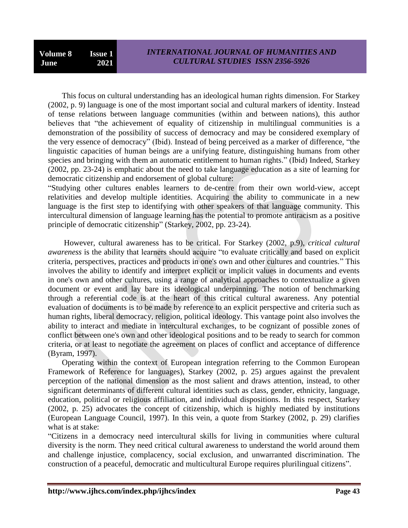This focus on cultural understanding has an ideological human rights dimension. For Starkey (2002, p. 9) language is one of the most important social and cultural markers of identity. Instead of tense relations between language communities (within and between nations), this author believes that "the achievement of equality of citizenship in multilingual communities is a demonstration of the possibility of success of democracy and may be considered exemplary of the very essence of democracy" (Ibid). Instead of being perceived as a marker of difference, "the linguistic capacities of human beings are a unifying feature, distinguishing humans from other species and bringing with them an automatic entitlement to human rights." (Ibid) Indeed, Starkey (2002, pp. 23-24) is emphatic about the need to take language education as a site of learning for democratic citizenship and endorsement of global culture:

"Studying other cultures enables learners to de-centre from their own world-view, accept relativities and develop multiple identities. Acquiring the ability to communicate in a new language is the first step to identifying with other speakers of that language community. This intercultural dimension of language learning has the potential to promote antiracism as a positive principle of democratic citizenship" (Starkey, 2002, pp. 23-24).

 However, cultural awareness has to be critical. For Starkey (2002, p.9), *critical cultural awareness* is the ability that learners should acquire "to evaluate critically and based on explicit criteria, perspectives, practices and products in one's own and other cultures and countries." This involves the ability to identify and interpret explicit or implicit values in documents and events in one's own and other cultures, using a range of analytical approaches to contextualize a given document or event and lay bare its ideological underpinning. The notion of benchmarking through a referential code is at the heart of this critical cultural awareness. Any potential evaluation of documents is to be made by reference to an explicit perspective and criteria such as human rights, liberal democracy, religion, political ideology. This vantage point also involves the ability to interact and mediate in intercultural exchanges, to be cognizant of possible zones of conflict between one's own and other ideological positions and to be ready to search for common criteria, or at least to negotiate the agreement on places of conflict and acceptance of difference (Byram, 1997).

 Operating within the context of European integration referring to the Common European Framework of Reference for languages), Starkey (2002, p. 25) argues against the prevalent perception of the national dimension as the most salient and draws attention, instead, to other significant determinants of different cultural identities such as class, gender, ethnicity, language, education, political or religious affiliation, and individual dispositions. In this respect, Starkey (2002, p. 25) advocates the concept of citizenship, which is highly mediated by institutions (European Language Council, 1997). In this vein, a quote from Starkey (2002, p. 29) clarifies what is at stake:

"Citizens in a democracy need intercultural skills for living in communities where cultural diversity is the norm. They need critical cultural awareness to understand the world around them and challenge injustice, complacency, social exclusion, and unwarranted discrimination. The construction of a peaceful, democratic and multicultural Europe requires plurilingual citizens".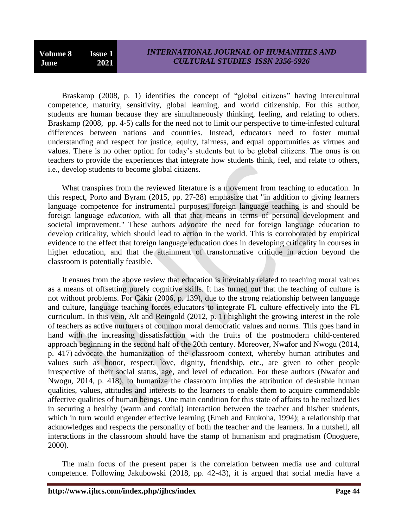Braskamp (2008, p. 1) identifies the concept of "global citizens" having intercultural competence, maturity, sensitivity, global learning, and world citizenship. For this author, students are human because they are simultaneously thinking, feeling, and relating to others. Braskamp (2008, pp. 4-5) calls for the need not to limit our perspective to time-infested cultural differences between nations and countries. Instead, educators need to foster mutual understanding and respect for justice, equity, fairness, and equal opportunities as virtues and values. There is no other option for today"s students but to be global citizens. The onus is on teachers to provide the experiences that integrate how students think, feel, and relate to others, i.e., develop students to become global citizens.

 What transpires from the reviewed literature is a movement from teaching to education. In this respect, Porto and Byram (2015, pp. 27-28) emphasize that "in addition to giving learners language competence for instrumental purposes, foreign language teaching is and should be foreign language *education*, with all that that means in terms of personal development and societal improvement." These authors advocate the need for foreign language education to develop criticality, which should lead to action in the world. This is corroborated by empirical evidence to the effect that foreign language education does in developing criticality in courses in higher education, and that the attainment of transformative critique in action beyond the classroom is potentially feasible.

 It ensues from the above review that education is inevitably related to teaching moral values as a means of offsetting purely cognitive skills. It has turned out that the teaching of culture is not without problems. For Çakir (2006, p. 139), due to the strong relationship between language and culture, language teaching forces educators to integrate FL culture effectively into the FL curriculum. In this vein, Alt and Reingold (2012, p. 1) highlight the growing interest in the role of teachers as active nurturers of common moral democratic values and norms. This goes hand in hand with the increasing dissatisfaction with the fruits of the postmodern child-centered approach beginning in the second half of the 20th century. Moreover, Nwafor and Nwogu (2014, p. 417) advocate the humanization of the classroom context, whereby human attributes and values such as honor, respect, love, dignity, friendship, etc., are given to other people irrespective of their social status, age, and level of education. For these authors (Nwafor and Nwogu, 2014, p. 418), to humanize the classroom implies the attribution of desirable human qualities, values, attitudes and interests to the learners to enable them to acquire commendable affective qualities of human beings. One main condition for this state of affairs to be realized lies in securing a healthy (warm and cordial) interaction between the teacher and his/her students, which in turn would engender effective learning (Emeh and Enukoha, 1994); a relationship that acknowledges and respects the personality of both the teacher and the learners. In a nutshell, all interactions in the classroom should have the stamp of humanism and pragmatism (Onoguere, 2000).

 The main focus of the present paper is the correlation between media use and cultural competence. Following Jakubowski (2018, pp. 42-43), it is argued that social media have a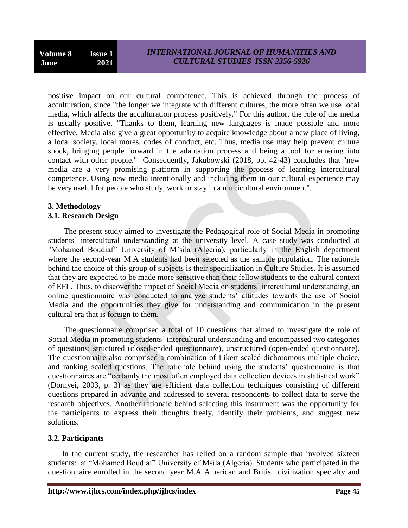positive impact on our cultural competence. This is achieved through the process of acculturation, since "the longer we integrate with different cultures, the more often we use local media, which affects the acculturation process positively." For this author, the role of the media is usually positive, "Thanks to them, learning new languages is made possible and more effective. Media also give a great opportunity to acquire knowledge about a new place of living, a local society, local mores, codes of conduct, etc. Thus, media use may help prevent culture shock, bringing people forward in the adaptation process and being a tool for entering into contact with other people." Consequently, Jakubowski (2018, pp. 42-43) concludes that "new media are a very promising platform in supporting the process of learning intercultural competence. Using new media intentionally and including them in our cultural experience may be very useful for people who study, work or stay in a multicultural environment".

## **3. Methodology**

### **3.1. Research Design**

 The present study aimed to investigate the Pedagogical role of Social Media in promoting students' intercultural understanding at the university level. A case study was conducted at "Mohamed Boudiaf" University of M"sila (Algeria), particularly in the English department where the second-year M.A students had been selected as the sample population. The rationale behind the choice of this group of subjects is their specialization in Culture Studies. It is assumed that they are expected to be made more sensitive than their fellow students to the cultural context of EFL. Thus, to discover the impact of Social Media on students" intercultural understanding, an online questionnaire was conducted to analyze students' attitudes towards the use of Social Media and the opportunities they give for understanding and communication in the present cultural era that is foreign to them.

 The questionnaire comprised a total of 10 questions that aimed to investigate the role of Social Media in promoting students' intercultural understanding and encompassed two categories of questions: structured (closed-ended questionnaire), unstructured (open-ended questionnaire). The questionnaire also comprised a combination of Likert scaled dichotomous multiple choice, and ranking scaled questions. The rationale behind using the students' questionnaire is that questionnaires are "certainly the most often employed data collection devices in statistical work" (Dornyei, 2003, p. 3) as they are efficient data collection techniques consisting of different questions prepared in advance and addressed to several respondents to collect data to serve the research objectives. Another rationale behind selecting this instrument was the opportunity for the participants to express their thoughts freely, identify their problems, and suggest new solutions.

### **3.2. Participants**

 In the current study, the researcher has relied on a random sample that involved sixteen students: at "Mohamed Boudiaf" University of Msila (Algeria). Students who participated in the questionnaire enrolled in the second year M.A American and British civilization specialty and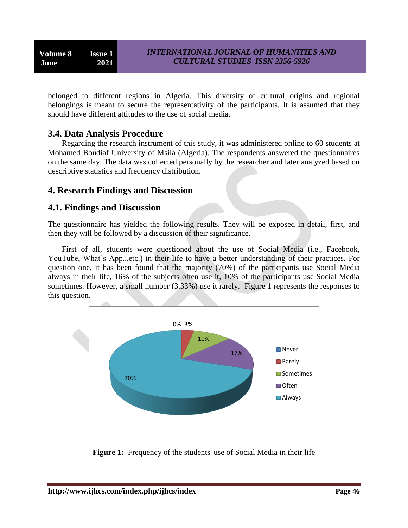belonged to different regions in Algeria. This diversity of cultural origins and regional belongings is meant to secure the representativity of the participants. It is assumed that they should have different attitudes to the use of social media.

## **3.4. Data Analysis Procedure**

 Regarding the research instrument of this study, it was administered online to 60 students at Mohamed Boudiaf University of Msila (Algeria). The respondents answered the questionnaires on the same day. The data was collected personally by the researcher and later analyzed based on descriptive statistics and frequency distribution.

## **4. Research Findings and Discussion**

## **4.1. Findings and Discussion**

The questionnaire has yielded the following results. They will be exposed in detail, first, and then they will be followed by a discussion of their significance.

 First of all, students were questioned about the use of Social Media (i.e., Facebook, YouTube, What's App...etc.) in their life to have a better understanding of their practices. For question one, it has been found that the majority (70%) of the participants use Social Media always in their life, 16% of the subjects often use it, 10% of the participants use Social Media sometimes. However, a small number (3.33%) use it rarely. Figure 1 represents the responses to this question.



**Figure 1:** Frequency of the students' use of Social Media in their life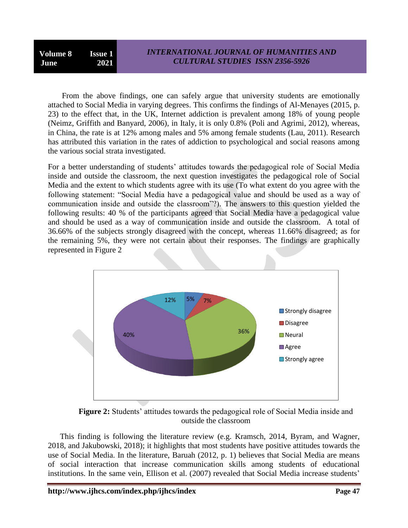**Volume 8 Issue 1 June 2021**

 From the above findings, one can safely argue that university students are emotionally attached to Social Media in varying degrees. This confirms the findings of Al-Menayes (2015, p. 23) to the effect that, in the UK, Internet addiction is prevalent among 18% of young people (Neimz, Griffith and Banyard, 2006), in Italy, it is only 0.8% (Poli and Agrimi, 2012), whereas, in China, the rate is at 12% among males and 5% among female students (Lau, 2011). Research has attributed this variation in the rates of addiction to psychological and social reasons among the various social strata investigated.

For a better understanding of students" attitudes towards the pedagogical role of Social Media inside and outside the classroom, the next question investigates the pedagogical role of Social Media and the extent to which students agree with its use (To what extent do you agree with the following statement: "Social Media have a pedagogical value and should be used as a way of communication inside and outside the classroom"?). The answers to this question yielded the following results: 40 % of the participants agreed that Social Media have a pedagogical value and should be used as a way of communication inside and outside the classroom. A total of 36.66% of the subjects strongly disagreed with the concept, whereas 11.66% disagreed; as for the remaining 5%, they were not certain about their responses. The findings are graphically represented in Figure 2



**Figure 2:** Students' attitudes towards the pedagogical role of Social Media inside and outside the classroom

 This finding is following the literature review (e.g. Kramsch, 2014, Byram, and Wagner, 2018, and Jakubowski, 2018); it highlights that most students have positive attitudes towards the use of Social Media. In the literature, Baruah (2012, p. 1) believes that Social Media are means of social interaction that increase communication skills among students of educational institutions. In the same vein, Ellison et al. (2007) revealed that Social Media increase students'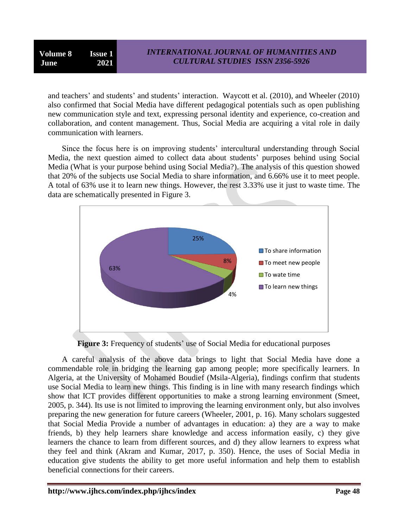and teachers' and students' and students' interaction. Waycott et al. (2010), and Wheeler (2010) also confirmed that Social Media have different pedagogical potentials such as open publishing new communication style and text, expressing personal identity and experience, co-creation and collaboration, and content management. Thus, Social Media are acquiring a vital role in daily communication with learners.

Since the focus here is on improving students' intercultural understanding through Social Media, the next question aimed to collect data about students' purposes behind using Social Media (What is your purpose behind using Social Media?). The analysis of this question showed that 20% of the subjects use Social Media to share information, and 6.66% use it to meet people. A total of 63% use it to learn new things. However, the rest 3.33% use it just to waste time. The data are schematically presented in Figure 3.



**Figure 3:** Frequency of students' use of Social Media for educational purposes

 A careful analysis of the above data brings to light that Social Media have done a commendable role in bridging the learning gap among people; more specifically learners. In Algeria, at the University of Mohamed Boudief (Msila-Algeria), findings confirm that students use Social Media to learn new things. This finding is in line with many research findings which show that ICT provides different opportunities to make a strong learning environment (Smeet, 2005, p. 344). Its use is not limited to improving the learning environment only, but also involves preparing the new generation for future careers (Wheeler, 2001, p. 16). Many scholars suggested that Social Media Provide a number of advantages in education: a) they are a way to make friends, b) they help learners share knowledge and access information easily, c) they give learners the chance to learn from different sources, and d) they allow learners to express what they feel and think (Akram and Kumar, 2017, p. 350). Hence, the uses of Social Media in education give students the ability to get more useful information and help them to establish beneficial connections for their careers.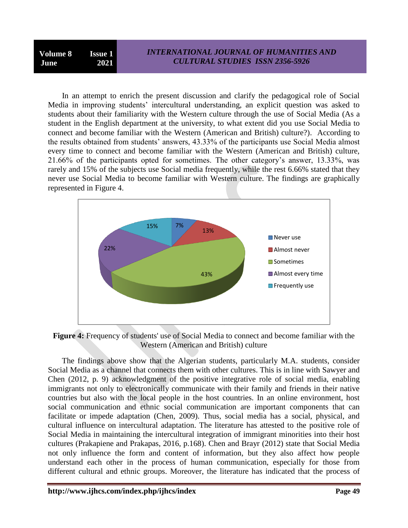In an attempt to enrich the present discussion and clarify the pedagogical role of Social Media in improving students' intercultural understanding, an explicit question was asked to students about their familiarity with the Western culture through the use of Social Media (As a student in the English department at the university, to what extent did you use Social Media to connect and become familiar with the Western (American and British) culture?). According to the results obtained from students" answers, 43.33% of the participants use Social Media almost every time to connect and become familiar with the Western (American and British) culture, 21.66% of the participants opted for sometimes. The other category"s answer, 13.33%, was rarely and 15% of the subjects use Social media frequently, while the rest 6.66% stated that they never use Social Media to become familiar with Western culture. The findings are graphically represented in Figure 4.



**Figure 4:** Frequency of students' use of Social Media to connect and become familiar with the Western (American and British) culture

 The findings above show that the Algerian students, particularly M.A. students, consider Social Media as a channel that connects them with other cultures. This is in line with Sawyer and Chen (2012, p. 9) acknowledgment of the positive integrative role of social media, enabling immigrants not only to electronically communicate with their family and friends in their native countries but also with the local people in the host countries. In an online environment, host social communication and ethnic social communication are important components that can facilitate or impede adaptation (Chen, 2009). Thus, social media has a social, physical, and cultural influence on intercultural adaptation. The literature has attested to the positive role of Social Media in maintaining the intercultural integration of immigrant minorities into their host cultures (Prakapiene and Prakapas, 2016, p.168). Chen and Brayr (2012) state that Social Media not only influence the form and content of information, but they also affect how people understand each other in the process of human communication, especially for those from different cultural and ethnic groups. Moreover, the literature has indicated that the process of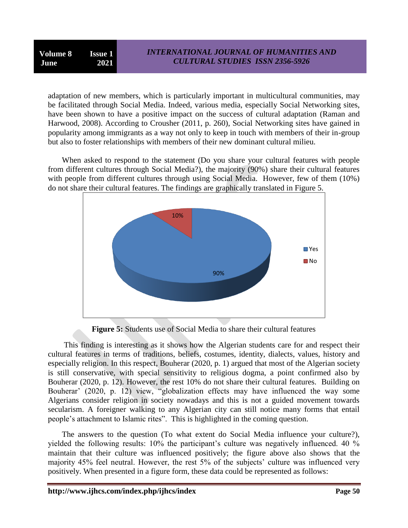**Volume 8 Issue 1 June 2021**

adaptation of new members, which is particularly important in multicultural communities, may be facilitated through Social Media. Indeed, various media, especially Social Networking sites, have been shown to have a positive impact on the success of cultural adaptation (Raman and Harwood, 2008). According to Crousher (2011, p. 260), Social Networking sites have gained in popularity among immigrants as a way not only to keep in touch with members of their in-group but also to foster relationships with members of their new dominant cultural milieu.

 When asked to respond to the statement (Do you share your cultural features with people from different cultures through Social Media?), the majority (90%) share their cultural features with people from different cultures through using Social Media. However, few of them (10%) do not share their cultural features. The findings are graphically translated in Figure 5.



**Figure 5:** Students use of Social Media to share their cultural features

 This finding is interesting as it shows how the Algerian students care for and respect their cultural features in terms of traditions, beliefs, costumes, identity, dialects, values, history and especially religion. In this respect, Bouherar (2020, p. 1) argued that most of the Algerian society is still conservative, with special sensitivity to religious dogma, a point confirmed also by Bouherar (2020, p. 12). However, the rest 10% do not share their cultural features. Building on Bouherar' (2020, p. 12) view, "globalization effects may have influenced the way some Algerians consider religion in society nowadays and this is not a guided movement towards secularism. A foreigner walking to any Algerian city can still notice many forms that entail people"s attachment to Islamic rites". This is highlighted in the coming question.

 The answers to the question (To what extent do Social Media influence your culture?), yielded the following results: 10% the participant's culture was negatively influenced. 40 % maintain that their culture was influenced positively; the figure above also shows that the majority 45% feel neutral. However, the rest 5% of the subjects' culture was influenced very positively. When presented in a figure form, these data could be represented as follows: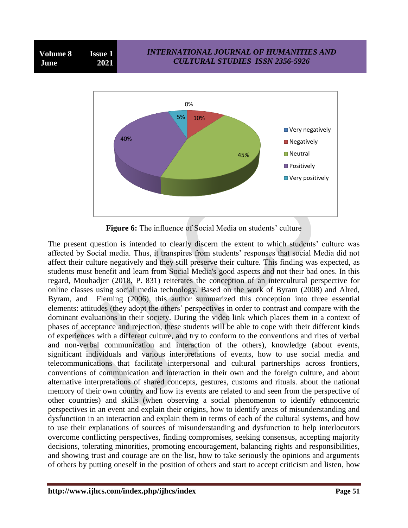



**Figure 6:** The influence of Social Media on students' culture

The present question is intended to clearly discern the extent to which students" culture was affected by Social media. Thus, it transpires from students' responses that social Media did not affect their culture negatively and they still preserve their culture. This finding was expected, as students must benefit and learn from Social Media's good aspects and not their bad ones. In this regard, Mouhadjer (2018, P. 831) reiterates the conception of an intercultural perspective for online classes using social media technology. Based on the work of Byram (2008) and Alred, Byram, and Fleming (2006), this author summarized this conception into three essential elements: attitudes (they adopt the others" perspectives in order to contrast and compare with the dominant evaluations in their society. During the video link which places them in a context of phases of acceptance and rejection, these students will be able to cope with their different kinds of experiences with a different culture, and try to conform to the conventions and rites of verbal and non-verbal communication and interaction of the others), knowledge (about events, significant individuals and various interpretations of events, how to use social media and telecommunications that facilitate interpersonal and cultural partnerships across frontiers, conventions of communication and interaction in their own and the foreign culture, and about alternative interpretations of shared concepts, gestures, customs and rituals. about the national memory of their own country and how its events are related to and seen from the perspective of other countries) and skills (when observing a social phenomenon to identify ethnocentric perspectives in an event and explain their origins, how to identify areas of misunderstanding and dysfunction in an interaction and explain them in terms of each of the cultural systems, and how to use their explanations of sources of misunderstanding and dysfunction to help interlocutors overcome conflicting perspectives, finding compromises, seeking consensus, accepting majority decisions, tolerating minorities, promoting encouragement, balancing rights and responsibilities, and showing trust and courage are on the list, how to take seriously the opinions and arguments of others by putting oneself in the position of others and start to accept criticism and listen, how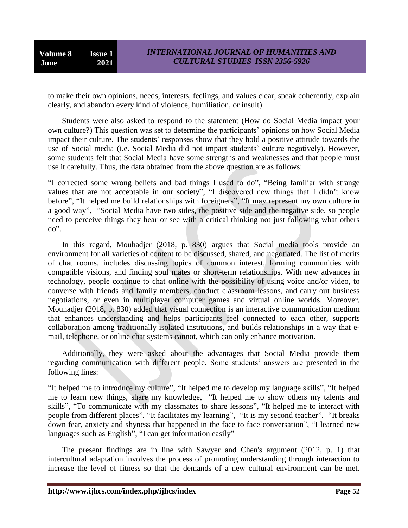**Volume 8 Issue 1 June 2021**

to make their own opinions, needs, interests, feelings, and values clear, speak coherently, explain clearly, and abandon every kind of violence, humiliation, or insult).

 Students were also asked to respond to the statement (How do Social Media impact your own culture?) This question was set to determine the participants" opinions on how Social Media impact their culture. The students' responses show that they hold a positive attitude towards the use of Social media (i.e. Social Media did not impact students' culture negatively). However, some students felt that Social Media have some strengths and weaknesses and that people must use it carefully. Thus, the data obtained from the above question are as follows:

"I corrected some wrong beliefs and bad things I used to do", "Being familiar with strange values that are not acceptable in our society", "I discovered new things that I didn't know before", "It helped me build relationships with foreigners", "It may represent my own culture in a good way", "Social Media have two sides, the positive side and the negative side, so people need to perceive things they hear or see with a critical thinking not just following what others do".

 In this regard, Mouhadjer (2018, p. 830) argues that Social media tools provide an environment for all varieties of content to be discussed, shared, and negotiated. The list of merits of chat rooms, includes discussing topics of common interest, forming communities with compatible visions, and finding soul mates or short-term relationships. With new advances in technology, people continue to chat online with the possibility of using voice and/or video, to converse with friends and family members, conduct classroom lessons, and carry out business negotiations, or even in multiplayer computer games and virtual online worlds. Moreover, Mouhadjer (2018, p. 830) added that visual connection is an interactive communication medium that enhances understanding and helps participants feel connected to each other, supports collaboration among traditionally isolated institutions, and builds relationships in a way that email, telephone, or online chat systems cannot, which can only enhance motivation.

 Additionally, they were asked about the advantages that Social Media provide them regarding communication with different people. Some students' answers are presented in the following lines:

"It helped me to introduce my culture", "It helped me to develop my language skills", "It helped me to learn new things, share my knowledge, "It helped me to show others my talents and skills", "To communicate with my classmates to share lessons", "It helped me to interact with people from different places", "It facilitates my learning", "It is my second teacher", "It breaks down fear, anxiety and shyness that happened in the face to face conversation", "I learned new languages such as English", "I can get information easily"

 The present findings are in line with Sawyer and Chen's argument (2012, p. 1) that intercultural adaptation involves the process of promoting understanding through interaction to increase the level of fitness so that the demands of a new cultural environment can be met.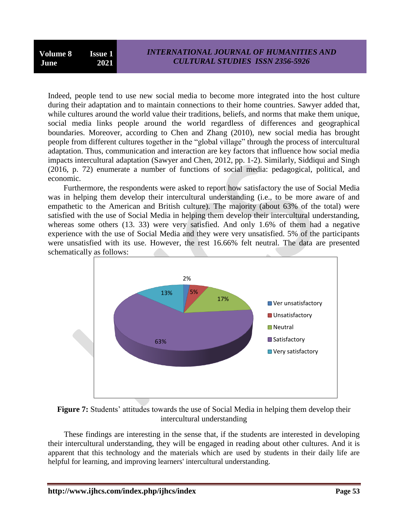Indeed, people tend to use new social media to become more integrated into the host culture during their adaptation and to maintain connections to their home countries. Sawyer added that, while cultures around the world value their traditions, beliefs, and norms that make them unique, social media links people around the world regardless of differences and geographical boundaries. Moreover, according to Chen and Zhang (2010), new social media has brought people from different cultures together in the "global village" through the process of intercultural adaptation. Thus, communication and interaction are key factors that influence how social media impacts intercultural adaptation (Sawyer and Chen, 2012, pp. 1-2). Similarly, Siddiqui and Singh (2016, p. 72) enumerate a number of functions of social media: pedagogical, political, and economic.

 Furthermore, the respondents were asked to report how satisfactory the use of Social Media was in helping them develop their intercultural understanding (i.e., to be more aware of and empathetic to the American and British culture). The majority (about 63% of the total) were satisfied with the use of Social Media in helping them develop their intercultural understanding, whereas some others (13, 33) were very satisfied. And only 1.6% of them had a negative experience with the use of Social Media and they were very unsatisfied. 5% of the participants were unsatisfied with its use. However, the rest 16.66% felt neutral. The data are presented schematically as follows:



**Figure 7:** Students' attitudes towards the use of Social Media in helping them develop their intercultural understanding

 These findings are interesting in the sense that, if the students are interested in developing their intercultural understanding, they will be engaged in reading about other cultures. And it is apparent that this technology and the materials which are used by students in their daily life are helpful for learning, and improving learners' intercultural understanding.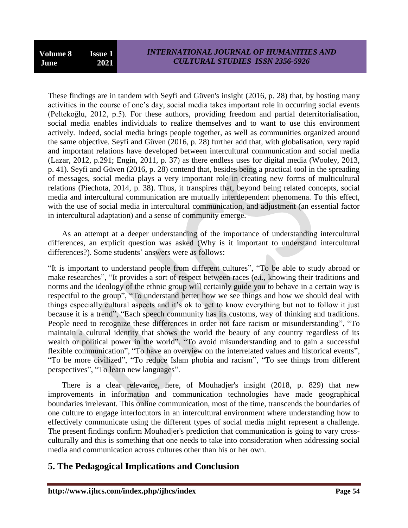These findings are in tandem with Seyfi and Güven's insight (2016, p. 28) that, by hosting many activities in the course of one's day, social media takes important role in occurring social events (Peltekoğlu, 2012, p.5). For these authors, providing freedom and partial deterritorialisation, social media enables individuals to realize themselves and to want to use this environment actively. Indeed, social media brings people together, as well as communities organized around the same objective. Seyfi and Güven (2016, p. 28) further add that, with globalisation, very rapid and important relations have developed between intercultural communication and social media (Lazar, 2012, p.291; Engin, 2011, p. 37) as there endless uses for digital media (Wooley, 2013, p. 41). Seyfi and Güven (2016, p. 28) contend that, besides being a practical tool in the spreading of messages, social media plays a very important role in creating new forms of multicultural relations (Piechota, 2014, p. 38). Thus, it transpires that, beyond being related concepts, social media and intercultural communication are mutually interdependent phenomena. To this effect, with the use of social media in intercultural communication, and adjustment (an essential factor in intercultural adaptation) and a sense of community emerge.

 As an attempt at a deeper understanding of the importance of understanding intercultural differences, an explicit question was asked (Why is it important to understand intercultural differences?). Some students' answers were as follows:

"It is important to understand people from different cultures", "To be able to study abroad or make researches", "It provides a sort of respect between races (e.i., knowing their traditions and norms and the ideology of the ethnic group will certainly guide you to behave in a certain way is respectful to the group", "To understand better how we see things and how we should deal with things especially cultural aspects and it's ok to get to know everything but not to follow it just because it is a trend", "Each speech community has its customs, way of thinking and traditions. People need to recognize these differences in order not face racism or misunderstanding", "To maintain a cultural identity that shows the world the beauty of any country regardless of its wealth or political power in the world", "To avoid misunderstanding and to gain a successful flexible communication", "To have an overview on the interrelated values and historical events", "To be more civilized", "To reduce Islam phobia and racism", "To see things from different perspectives", "To learn new languages".

 There is a clear relevance, here, of Mouhadjer's insight (2018, p. 829) that new improvements in information and communication technologies have made geographical boundaries irrelevant. This online communication, most of the time, transcends the boundaries of one culture to engage interlocutors in an intercultural environment where understanding how to effectively communicate using the different types of social media might represent a challenge. The present findings confirm Mouhadjer's prediction that communication is going to vary crossculturally and this is something that one needs to take into consideration when addressing social media and communication across cultures other than his or her own.

# **5. The Pedagogical Implications and Conclusion**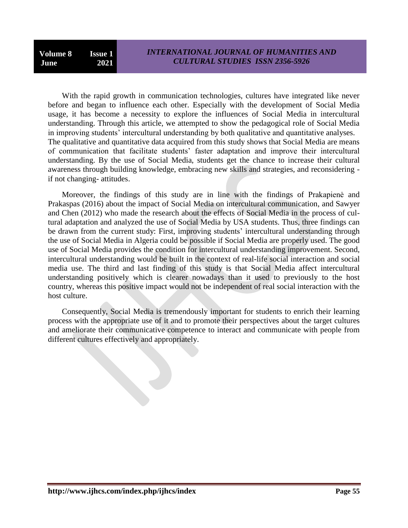With the rapid growth in communication technologies, cultures have integrated like never before and began to influence each other. Especially with the development of Social Media usage, it has become a necessity to explore the influences of Social Media in intercultural understanding. Through this article, we attempted to show the pedagogical role of Social Media in improving students' intercultural understanding by both qualitative and quantitative analyses. The qualitative and quantitative data acquired from this study shows that Social Media are means of communication that facilitate students" faster adaptation and improve their intercultural understanding. By the use of Social Media, students get the chance to increase their cultural awareness through building knowledge, embracing new skills and strategies, and reconsidering if not changing- attitudes.

 Moreover, the findings of this study are in line with the findings of Prakapienė and Prakaspas (2016) about the impact of Social Media on intercultural communication, and Sawyer and Chen (2012) who made the research about the effects of Social Media in the process of cultural adaptation and analyzed the use of Social Media by USA students. Thus, three findings can be drawn from the current study: First, improving students' intercultural understanding through the use of Social Media in Algeria could be possible if Social Media are properly used. The good use of Social Media provides the condition for intercultural understanding improvement. Second, intercultural understanding would be built in the context of real-life social interaction and social media use. The third and last finding of this study is that Social Media affect intercultural understanding positively which is clearer nowadays than it used to previously to the host country, whereas this positive impact would not be independent of real social interaction with the host culture.

 Consequently, Social Media is tremendously important for students to enrich their learning process with the appropriate use of it and to promote their perspectives about the target cultures and ameliorate their communicative competence to interact and communicate with people from different cultures effectively and appropriately.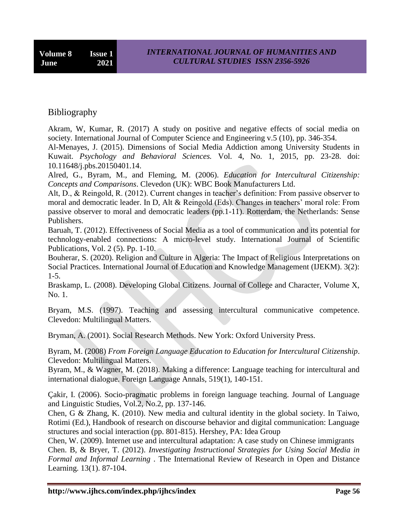# Bibliography

Akram, W, Kumar, R. (2017) A study on positive and negative effects of social media on society. International Journal of Computer Science and Engineering v.5 (10), pp. 346-354.

Al-Menayes, J. (2015). Dimensions of Social Media Addiction among University Students in Kuwait. *Psychology and Behavioral Sciences.* Vol. 4, No. 1, 2015, pp. 23-28. doi: 10.11648/j.pbs.20150401.14.

Alred, G., Byram, M., and Fleming, M. (2006). *Education for Intercultural Citizenship: Concepts and Comparisons*. Clevedon (UK): WBC Book Manufacturers Ltd.

Alt, D., & Reingold, R. (2012). Current changes in teacher's definition: From passive observer to moral and democratic leader. In D, Alt & Reingold (Eds). Changes in teachers' moral role: From passive observer to moral and democratic leaders (pp.1-11). Rotterdam, the Netherlands: Sense Publishers.

Baruah, T. (2012). Effectiveness of Social Media as a tool of communication and its potential for technology-enabled connections: A micro-level study. International Journal of Scientific Publications, Vol. 2 (5). Pp. 1-10.

Bouherar, S. (2020). Religion and Culture in Algeria: The Impact of Religious Interpretations on Social Practices. International Journal of Education and Knowledge Management (IJEKM). 3(2): 1-5.

Braskamp, L. (2008). Developing Global Citizens. Journal of College and Character, Volume X, No. 1.

Bryam, M.S. (1997). Teaching and assessing intercultural communicative competence. Clevedon: Multilingual Matters.

Bryman, A. (2001). Social Research Methods. New York: Oxford University Press.

Byram, M. (2008) *From Foreign Language Education to Education for Intercultural Citizenship*. Clevedon: Multilingual Matters.

Byram, M., & Wagner, M. (2018). Making a difference: Language teaching for intercultural and international dialogue. Foreign Language Annals, 519(1), 140-151.

Çakir, I. (2006). Socio-pragmatic problems in foreign language teaching. Journal of Language and Linguistic Studies, Vol.2, No.2, pp. 137-146.

Chen, G & Zhang, K. (2010). New media and cultural identity in the global society. In Taiwo, Rotimi (Ed.), Handbook of research on discourse behavior and digital communication: Language structures and social interaction (pp. 801-815). Hershey, PA: Idea Group

Chen, W. (2009). Internet use and intercultural adaptation: A case study on Chinese immigrants Chen. B, & Bryer, T. (2012). *Investigating Instructional Strategies for Using Social Media in Formal and Informal Learning* . The International Review of Research in Open and Distance Learning. 13(1). 87-104.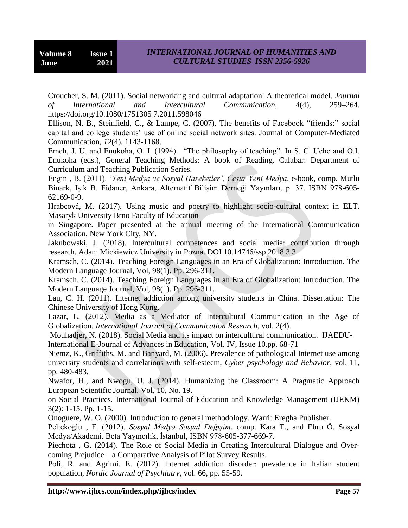Croucher, S. M. (2011). Social networking and cultural adaptation: A theoretical model. *Journal of International and Intercultural Communication, 4*(4), 259–264. [https://doi.org/10.1080/1751305 7.2011.598046](https://doi.org/10.1080/1751305%207.2011.598046)

Ellison, N. B., Steinfield, C., & Lampe, C. (2007). The benefits of Facebook "friends:" social capital and college students" use of online social network sites. Journal of Computer-Mediated Communication, *12*(4), 1143-1168.

Emeh, J. U. and Enukoha, O. I. (1994). "The philosophy of teaching". In S. C. Uche and O.I. Enukoha (eds.), General Teaching Methods: A book of Reading. Calabar: Department of Curriculum and Teaching Publication Series.

Engin , B. (2011). "*Yeni Medya ve Sosyal Hareketler', Cesur Yeni Medya*, e-book, comp. Mutlu Binark, Işık B. Fidaner, Ankara, Alternatif Bilişim Derneği Yayınları, p. 37. ISBN 978-605- 62169-0-9.

Hrabcová, M. (2017). Using music and poetry to highlight socio-cultural context in ELT. Masaryk University Brno Faculty of Education

in Singapore. Paper presented at the annual meeting of the International Communication Association, New York City, NY.

Jakubowski, J. (2018). Intercultural competences and social media: contribution through research. Adam Mickiewicz University in Pozna. DOI 10.14746/ssp.2018.3.3

Kramsch, C. (2014). Teaching Foreign Languages in an Era of Globalization: Introduction. The Modern Language Journal, Vol, 98(1). Pp. 296-311.

Kramsch, C. (2014). Teaching Foreign Languages in an Era of Globalization: Introduction. The Modern Language Journal, Vol, 98(1). Pp. 296-311.

Lau, C. H. (2011). Internet addiction among university students in China. Dissertation: The Chinese University of Hong Kong.

Lazar, L. (2012). Media as a Mediator of Intercultural Communication in the Age of Globalization. *International Journal of Communication Research*, vol. 2(4).

Mouhadjer, N. (2018). Social Media and its impact on intercultural communication. IJAEDU-

International E-Journal of Advances in Education, Vol. IV, Issue 10.pp. 68-71

Niemz, K., Griffiths, M. and Banyard, M. (2006). Prevalence of pathological Internet use among university students and correlations with self-esteem, *Cyber psychology and Behavior*, vol. 11, pp. 480-483.

Nwafor, H., and Nwogu, U, J. (2014). Humanizing the Classroom: A Pragmatic Approach European Scientific Journal, Vol, 10, No. 19.

on Social Practices. International Journal of Education and Knowledge Management (IJEKM) 3(2): 1-15. Pp. 1-15.

Onoguere, W. O. (2000). Introduction to general methodology. Warri: Eregha Publisher.

Peltekoğlu , F. (2012). *Sosyal Medya Sosyal Değişim*, comp. Kara T., and Ebru Ö. Sosyal Medya/Akademi. Beta Yayıncılık, İstanbul, ISBN 978-605-377-669-7.

Piechota , G. (2014). The Role of Social Media in Creating Intercultural Dialogue and Overcoming Prejudice – a Comparative Analysis of Pilot Survey Results.

Poli, R. and Agrimi. E. (2012). Internet addiction disorder: prevalence in Italian student population, *Nordic Journal of Psychiatry*, vol. 66, pp. 55-59.